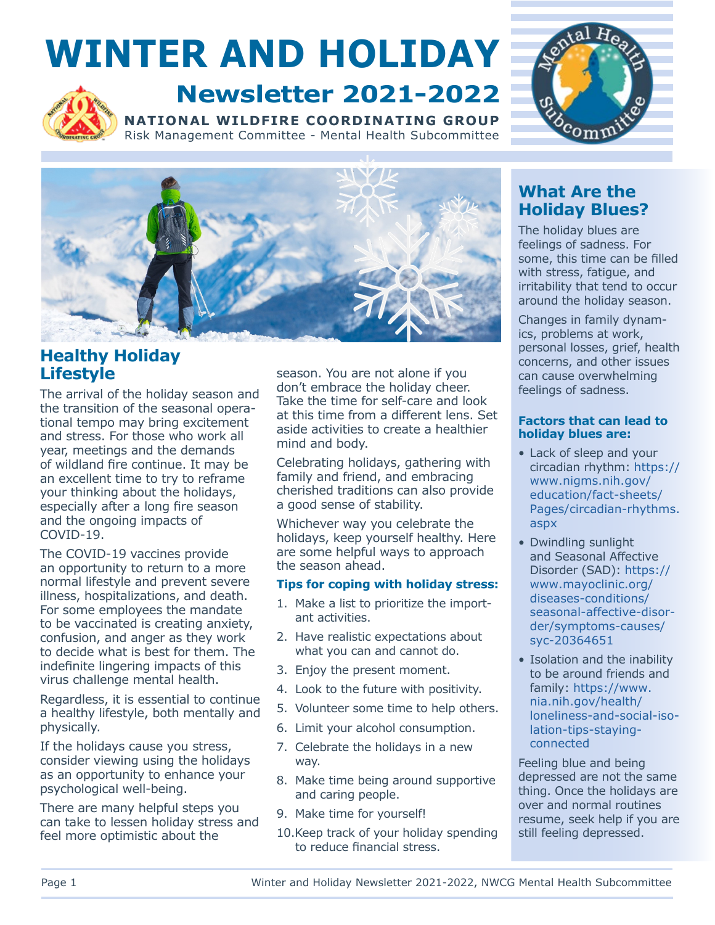# **WINTER AND HOLIDAY**



### **Newsletter 2021-2022**

**NATIONAL WILDFIRE COORDINATING GROUP** Risk Management Committee - Mental Health Subcommittee





#### **Lifestyle Healthy Holiday**

The arrival of the holiday season and the transition of the seasonal operational tempo may bring excitement and stress. For those who work all year, meetings and the demands of wildland fire continue. It may be an excellent time to try to reframe your thinking about the holidays, especially after a long fire season and the ongoing impacts of COVID-19.

The COVID-19 vaccines provide an opportunity to return to a more normal lifestyle and prevent severe illness, hospitalizations, and death. For some employees the mandate to be vaccinated is creating anxiety, confusion, and anger as they work to decide what is best for them. The indefinite lingering impacts of this virus challenge mental health.

Regardless, it is essential to continue a healthy lifestyle, both mentally and physically.

If the holidays cause you stress, consider viewing using the holidays as an opportunity to enhance your psychological well-being.

There are many helpful steps you can take to lessen holiday stress and feel more optimistic about the

season. You are not alone if you don't embrace the holiday cheer. Take the time for self-care and look at this time from a different lens. Set aside activities to create a healthier mind and body.

Celebrating holidays, gathering with family and friend, and embracing cherished traditions can also provide a good sense of stability.

Whichever way you celebrate the holidays, keep yourself healthy. Here are some helpful ways to approach the season ahead.

#### **Tips for coping with holiday stress:**

- 1. Make a list to prioritize the important activities.
- 2. Have realistic expectations about what you can and cannot do.
- 3. Enjoy the present moment.
- 4. Look to the future with positivity.
- 5. Volunteer some time to help others.
- 6. Limit your alcohol consumption.
- 7. Celebrate the holidays in a new way.
- 8. Make time being around supportive and caring people.
- 9. Make time for yourself!
- 10.Keep track of your holiday spending to reduce financial stress.

#### **What Are the Holiday Blues?**

The holiday blues are feelings of sadness. For some, this time can be filled with stress, fatigue, and irritability that tend to occur around the holiday season.

Changes in family dynamics, problems at work, personal losses, grief, health concerns, and other issues can cause overwhelming feelings of sadness.

#### **Factors that can lead to holiday blues are:**

- Lack of sleep and your circadian rhythm: https:// www.nigms.nih.gov/ education/fact-sheets/ [Pages/circadian-rhythms.](https://www.nigms.nih.gov/education/fact-sheets/Pages/circadian-rhythms.aspx) aspx
- Dwindling sunlight and Seasonal Affective Disorder (SAD): https:// www.mayoclinic.org/ diseases-conditions/ [seasonal-affective-disor](https://www.mayoclinic.org/diseases-conditions/seasonal-affective-disorder/symptoms-causes/syc-20364651)der/symptoms-causes/ syc-20364651
- Isolation and the inability to be around friends and family: https://www. nia.nih.gov/health/ [loneliness-and-social-iso](https://www.nia.nih.gov/health/loneliness-and-social-isolation-tips-staying-connected)lation-tips-stayingconnected

Feeling blue and being depressed are not the same thing. Once the holidays are over and normal routines resume, seek help if you are still feeling depressed.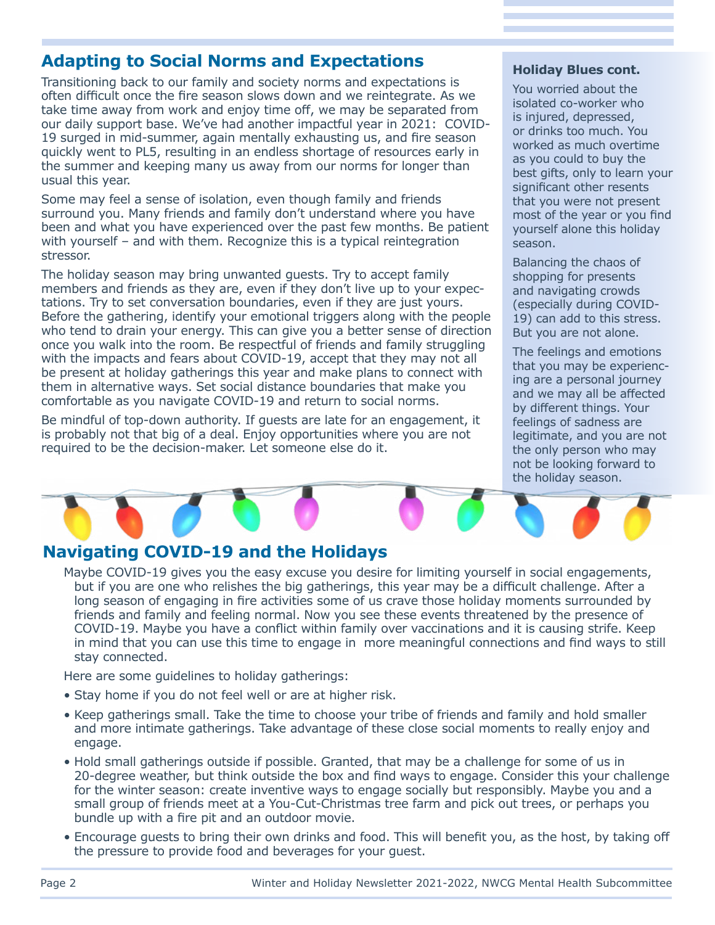## **Adapting to Social Norms and Expectations and Holiday Blues cont.**<br>Transitioning back to our family and society norms and expectations is

Transitioning back to our family and society norms and expectations is<br>
often difficult once the fire season slows down and we reintegrate. As we<br>
take time away from work and enjoy time off, we may be separated from<br>
our

Some may feel a sense of isolation, even though family and friends that you were not present surround you. Many friends and family don't understand where you have most of the year or you find been and what you have experienced over the past few months. Be patient yourself alone this holiday with yourself – and with them. Recognize this is a typical reintegration stressor.

The holiday season may bring unwanted guests. Try to accept family shopping for presents members and friends as they are, even if they don't live up to your expec-<br>and navigating crowds tations. Try to set conversation boundaries, even if they are just yours. (especially during COVID-Before the gathering, identify your emotional triggers along with the people  $19$ ) can add to this stress. who tend to drain your energy. This can give you a better sense of direction But you are not alone.<br>once you walk into the room. Be respectful of friends and family struggling The feelings and emotions<br>be present at holiday gatherings this year and make plans to connect with<br>them in alternative ways. Set social distance boundaries that make you<br>comfortable as you navigate COVID-19 and return to

Be mindful of top-down authority. If guests are late for an engagement, it feelings of sadness are is probably not that big of a deal. Enjoy opportunities where you are not legitimate, and you are not required to be the decision-maker. Let someone else do it. The only person who may

Balancing the chaos of

not be looking forward to the holiday season.

### **Navigating COVID-19 and the Holidays**

Maybe COVID-19 gives you the easy excuse you desire for limiting yourself in social engagements, but if you are one who relishes the big gatherings, this year may be a difficult challenge. After a long season of engaging in fire activities some of us crave those holiday moments surrounded by friends and family and feeling normal. Now you see these events threatened by the presence of COVID-19. Maybe you have a conflict within family over vaccinations and it is causing strife. Keep in mind that you can use this time to engage in more meaningful connections and find ways to still stay connected.

Here are some guidelines to holiday gatherings:

- Stay home if you do not feel well or are at higher risk.
- Keep gatherings small. Take the time to choose your tribe of friends and family and hold smaller and more intimate gatherings. Take advantage of these close social moments to really enjoy and engage.
- Hold small gatherings outside if possible. Granted, that may be a challenge for some of us in 20-degree weather, but think outside the box and find ways to engage. Consider this your challenge for the winter season: create inventive ways to engage socially but responsibly. Maybe you and a small group of friends meet at a You-Cut-Christmas tree farm and pick out trees, or perhaps you bundle up with a fire pit and an outdoor movie.
- Encourage guests to bring their own drinks and food. This will benefit you, as the host, by taking off the pressure to provide food and beverages for your guest.